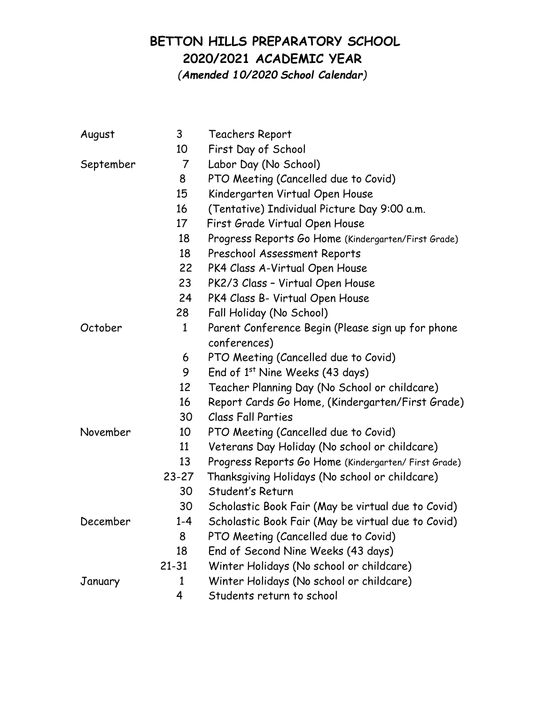## **BETTON HILLS PREPARATORY SCHOOL 2020/2021 ACADEMIC YEAR**

*(Amended 10/2020 School Calendar)*

| August    | 3              | Teachers Report                                      |
|-----------|----------------|------------------------------------------------------|
|           | 10             | First Day of School                                  |
| September | $\overline{7}$ | Labor Day (No School)                                |
|           | 8              | PTO Meeting (Cancelled due to Covid)                 |
|           | 15             | Kindergarten Virtual Open House                      |
|           | 16             | (Tentative) Individual Picture Day 9:00 a.m.         |
|           | 17             | First Grade Virtual Open House                       |
|           | 18             | Progress Reports Go Home (Kindergarten/First Grade)  |
|           | 18             | Preschool Assessment Reports                         |
|           | 22             | PK4 Class A-Virtual Open House                       |
|           | 23             | PK2/3 Class - Virtual Open House                     |
|           | 24             | PK4 Class B- Virtual Open House                      |
|           | 28             | Fall Holiday (No School)                             |
| October   | $\mathbf{1}$   | Parent Conference Begin (Please sign up for phone    |
|           |                | conferences)                                         |
|           | 6              | PTO Meeting (Cancelled due to Covid)                 |
|           | 9              | End of 1st Nine Weeks (43 days)                      |
|           | 12             | Teacher Planning Day (No School or childcare)        |
|           | 16             | Report Cards Go Home, (Kindergarten/First Grade)     |
|           | 30             | <b>Class Fall Parties</b>                            |
| November  | 10             | PTO Meeting (Cancelled due to Covid)                 |
|           | 11             | Veterans Day Holiday (No school or childcare)        |
|           | 13             | Progress Reports Go Home (Kindergarten/ First Grade) |
|           | $23 - 27$      | Thanksgiving Holidays (No school or childcare)       |
|           | 30             | Student's Return                                     |
|           | 30             | Scholastic Book Fair (May be virtual due to Covid)   |
| December  | $1 - 4$        | Scholastic Book Fair (May be virtual due to Covid)   |
|           | 8              | PTO Meeting (Cancelled due to Covid)                 |
|           | 18             | End of Second Nine Weeks (43 days)                   |
|           | $21 - 31$      | Winter Holidays (No school or childcare)             |
| January   | $\mathbf{1}$   | Winter Holidays (No school or childcare)             |
|           | 4              | Students return to school                            |